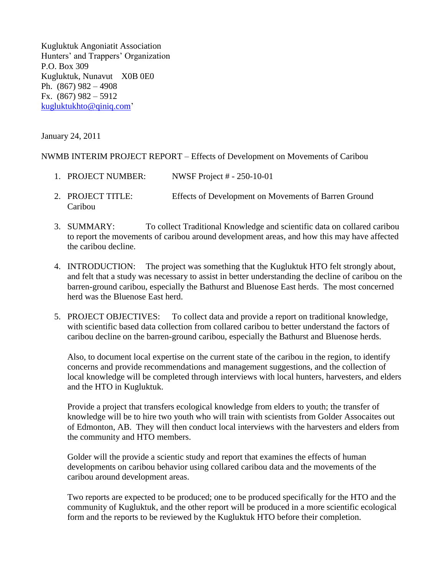Kugluktuk Angoniatit Association Hunters' and Trappers' Organization P.O. Box 309 Kugluktuk, Nunavut X0B 0E0 Ph. (867) 982 – 4908 Fx. (867) 982 – 5912 [kugluktukhto@qiniq.com'](mailto:kugluktukhto@qiniq.com)

January 24, 2011

NWMB INTERIM PROJECT REPORT – Effects of Development on Movements of Caribou

- 1. PROJECT NUMBER: NWSF Project # 250-10-01
- 2. PROJECT TITLE: Effects of Development on Movements of Barren Ground Caribou
- 3. SUMMARY: To collect Traditional Knowledge and scientific data on collared caribou to report the movements of caribou around development areas, and how this may have affected the caribou decline.
- 4. INTRODUCTION: The project was something that the Kugluktuk HTO felt strongly about, and felt that a study was necessary to assist in better understanding the decline of caribou on the barren-ground caribou, especially the Bathurst and Bluenose East herds. The most concerned herd was the Bluenose East herd.
- 5. PROJECT OBJECTIVES: To collect data and provide a report on traditional knowledge, with scientific based data collection from collared caribou to better understand the factors of caribou decline on the barren-ground caribou, especially the Bathurst and Bluenose herds.

Also, to document local expertise on the current state of the caribou in the region, to identify concerns and provide recommendations and management suggestions, and the collection of local knowledge will be completed through interviews with local hunters, harvesters, and elders and the HTO in Kugluktuk.

Provide a project that transfers ecological knowledge from elders to youth; the transfer of knowledge will be to hire two youth who will train with scientists from Golder Assocaites out of Edmonton, AB. They will then conduct local interviews with the harvesters and elders from the community and HTO members.

Golder will the provide a scientic study and report that examines the effects of human developments on caribou behavior using collared caribou data and the movements of the caribou around development areas.

Two reports are expected to be produced; one to be produced specifically for the HTO and the community of Kugluktuk, and the other report will be produced in a more scientific ecological form and the reports to be reviewed by the Kugluktuk HTO before their completion.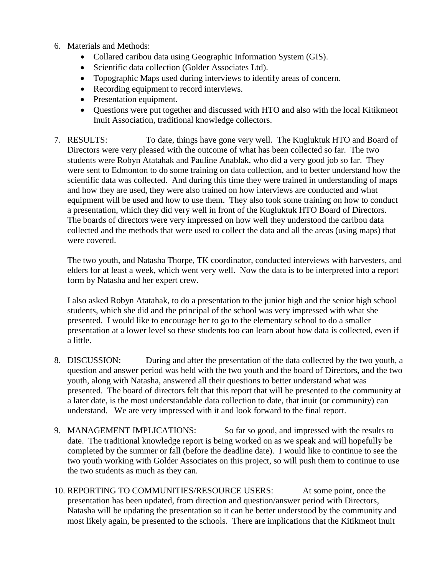- 6. Materials and Methods:
	- Collared caribou data using Geographic Information System (GIS).
	- Scientific data collection (Golder Associates Ltd).
	- Topographic Maps used during interviews to identify areas of concern.
	- Recording equipment to record interviews.
	- Presentation equipment.
	- Questions were put together and discussed with HTO and also with the local Kitikmeot Inuit Association, traditional knowledge collectors.
- 7. RESULTS: To date, things have gone very well. The Kugluktuk HTO and Board of Directors were very pleased with the outcome of what has been collected so far. The two students were Robyn Atatahak and Pauline Anablak, who did a very good job so far. They were sent to Edmonton to do some training on data collection, and to better understand how the scientific data was collected. And during this time they were trained in understanding of maps and how they are used, they were also trained on how interviews are conducted and what equipment will be used and how to use them. They also took some training on how to conduct a presentation, which they did very well in front of the Kugluktuk HTO Board of Directors. The boards of directors were very impressed on how well they understood the caribou data collected and the methods that were used to collect the data and all the areas (using maps) that were covered.

The two youth, and Natasha Thorpe, TK coordinator, conducted interviews with harvesters, and elders for at least a week, which went very well. Now the data is to be interpreted into a report form by Natasha and her expert crew.

I also asked Robyn Atatahak, to do a presentation to the junior high and the senior high school students, which she did and the principal of the school was very impressed with what she presented. I would like to encourage her to go to the elementary school to do a smaller presentation at a lower level so these students too can learn about how data is collected, even if a little.

- 8. DISCUSSION: During and after the presentation of the data collected by the two youth, a question and answer period was held with the two youth and the board of Directors, and the two youth, along with Natasha, answered all their questions to better understand what was presented. The board of directors felt that this report that will be presented to the community at a later date, is the most understandable data collection to date, that inuit (or community) can understand. We are very impressed with it and look forward to the final report.
- 9. MANAGEMENT IMPLICATIONS: So far so good, and impressed with the results to date. The traditional knowledge report is being worked on as we speak and will hopefully be completed by the summer or fall (before the deadline date). I would like to continue to see the two youth working with Golder Associates on this project, so will push them to continue to use the two students as much as they can.
- 10. REPORTING TO COMMUNITIES/RESOURCE USERS: At some point, once the presentation has been updated, from direction and question/answer period with Directors, Natasha will be updating the presentation so it can be better understood by the community and most likely again, be presented to the schools. There are implications that the Kitikmeot Inuit